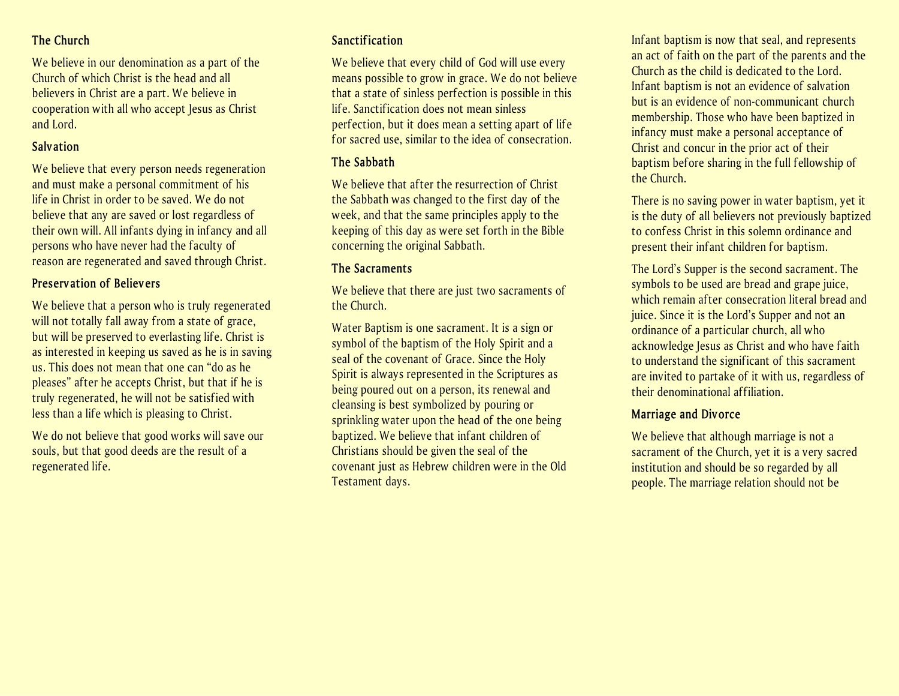## **The Church**

We believe in our denomination as a part of the Church of which Christ is the head and all believers in Christ are a part. We believe in cooperation with all who accept Jesus as Christ and Lord.

## **Salvation**

We believe that every person needs regeneration and must make a personal commitment of his life in Christ in order to be saved. We do not believe that any are saved or lost regardless of their own will. All infants dying in infancy and all persons who have never had the faculty of reason are regenerated and saved through Christ.

## **Preservation of Believers**

We believe that a person who is truly regenerated will not totally fall away from a state of grace, but will be preserved to everlasting life. Christ is as interested in keeping us saved as he is in saving us. This does not mean that one can "do as he pleases" after he accepts Christ, but that if he is truly regenerated, he will not be satisfied with less than a life which is pleasing to Christ.

We do not believe that good works will save our souls, but that good deeds are the result of a regenerated life.

## **Sanctification**

We believe that every child of God will use every means possible to grow in grace. We do not believe that a state of sinless perfection is possible in this life. Sanctification does not mean sinless perfection, but it does mean a setting apart of life for sacred use, similar to the idea of consecration.

## **The Sabbath**

We believe that after the resurrection of Christ the Sabbath was changed to the first day of the week, and that the same principles apply to the keeping of this day as were set forth in the Bible concerning the original Sabbath.

## **The Sacraments**

We believe that there are just two sacraments of the Church.

Water Baptism is one sacrament. It is a sign or symbol of the baptism of the Holy Spirit and a seal of the covenant of Grace. Since the Holy Spirit is always represented in the Scriptures as being poured out on a person, its renewal and cleansing is best symbolized by pouring or sprinkling water upon the head of the one being baptized. We believe that infant children of Christians should be given the seal of the covenant just as Hebrew children were in the Old Testament days.

Infant baptism is now that seal, and represents an act of faith on the part of the parents and the Church as the child is dedicated to the Lord. Infant baptism is not an evidence of salvation but is an evidence of non-communicant church membership. Those who have been baptized in infancy must make a personal acceptance of Christ and concur in the prior act of their baptism before sharing in the full fellowship of the Church.

There is no saving power in water baptism, yet it is the duty of all believers not previously baptized to confess Christ in this solemn ordinance and present their infant children for baptism.

The Lord's Supper is the second sacrament. The symbols to be used are bread and grape juice, which remain after consecration literal bread and juice. Since it is the Lord's Supper and not an ordinance of a particular church, all who acknowledge Jesus as Christ and who have faith to understand the significant of this sacrament are invited to partake of it with us, regardless of their denominational affiliation.

## **Marriage and Divorce**

We believe that although marriage is not a sacrament of the Church, yet it is a very sacred institution and should be so regarded by all people. The marriage relation should not be